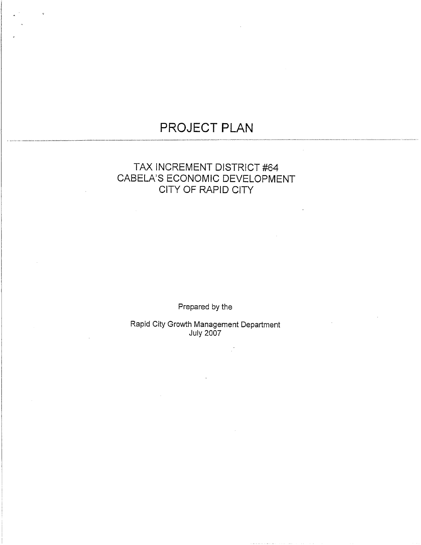# PROJECT PLAN

# TAX INCREMENT DISTRICT #64 CABELA'S ECONOMIC DEVELOPMENT CITY OF RAPID CITY

Prepared by the

Rapid City Growth Management Department<br>July 2007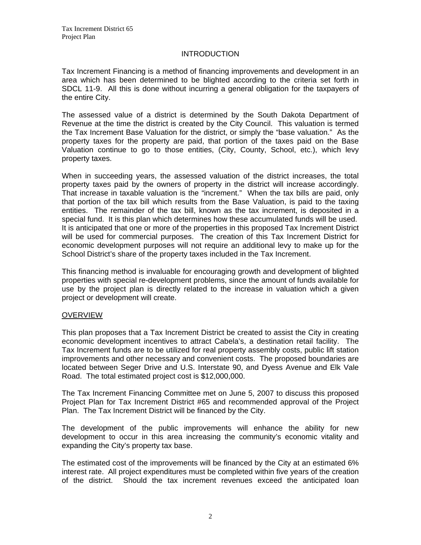#### **INTRODUCTION**

Tax Increment Financing is a method of financing improvements and development in an area which has been determined to be blighted according to the criteria set forth in SDCL 11-9. All this is done without incurring a general obligation for the taxpayers of the entire City.

The assessed value of a district is determined by the South Dakota Department of Revenue at the time the district is created by the City Council. This valuation is termed the Tax Increment Base Valuation for the district, or simply the "base valuation." As the property taxes for the property are paid, that portion of the taxes paid on the Base Valuation continue to go to those entities, (City, County, School, etc.), which levy property taxes.

When in succeeding years, the assessed valuation of the district increases, the total property taxes paid by the owners of property in the district will increase accordingly. That increase in taxable valuation is the "increment." When the tax bills are paid, only that portion of the tax bill which results from the Base Valuation, is paid to the taxing entities. The remainder of the tax bill, known as the tax increment, is deposited in a special fund. It is this plan which determines how these accumulated funds will be used. It is anticipated that one or more of the properties in this proposed Tax Increment District will be used for commercial purposes. The creation of this Tax Increment District for economic development purposes will not require an additional levy to make up for the School District's share of the property taxes included in the Tax Increment.

This financing method is invaluable for encouraging growth and development of blighted properties with special re-development problems, since the amount of funds available for use by the project plan is directly related to the increase in valuation which a given project or development will create.

#### **OVERVIEW**

This plan proposes that a Tax Increment District be created to assist the City in creating economic development incentives to attract Cabela's, a destination retail facility. The Tax Increment funds are to be utilized for real property assembly costs, public lift station improvements and other necessary and convenient costs. The proposed boundaries are located between Seger Drive and U.S. Interstate 90, and Dyess Avenue and Elk Vale Road. The total estimated project cost is \$12,000,000.

The Tax Increment Financing Committee met on June 5, 2007 to discuss this proposed Project Plan for Tax Increment District #65 and recommended approval of the Project Plan. The Tax Increment District will be financed by the City.

The development of the public improvements will enhance the ability for new development to occur in this area increasing the community's economic vitality and expanding the City's property tax base.

The estimated cost of the improvements will be financed by the City at an estimated 6% interest rate. All project expenditures must be completed within five years of the creation of the district. Should the tax increment revenues exceed the anticipated loan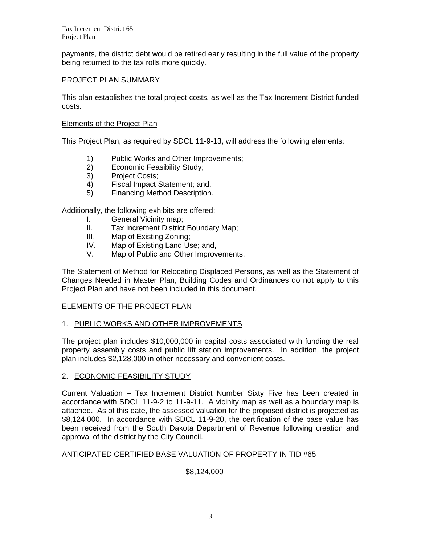Tax Increment District 65 Project Plan

payments, the district debt would be retired early resulting in the full value of the property being returned to the tax rolls more quickly.

#### PROJECT PLAN SUMMARY

This plan establishes the total project costs, as well as the Tax Increment District funded costs.

#### Elements of the Project Plan

This Project Plan, as required by SDCL 11-9-13, will address the following elements:

- 1) Public Works and Other Improvements;
- 2) Economic Feasibility Study;
- 3) Project Costs;
- 4) Fiscal Impact Statement; and,
- 5) Financing Method Description.

Additionally, the following exhibits are offered:

- I. General Vicinity map;
- II. Tax Increment District Boundary Map;
- III. Map of Existing Zoning;
- IV. Map of Existing Land Use; and,
- V. Map of Public and Other Improvements.

The Statement of Method for Relocating Displaced Persons, as well as the Statement of Changes Needed in Master Plan, Building Codes and Ordinances do not apply to this Project Plan and have not been included in this document.

# ELEMENTS OF THE PROJECT PLAN

# 1. PUBLIC WORKS AND OTHER IMPROVEMENTS

The project plan includes \$10,000,000 in capital costs associated with funding the real property assembly costs and public lift station improvements. In addition, the project plan includes \$2,128,000 in other necessary and convenient costs.

#### 2. ECONOMIC FEASIBILITY STUDY

Current Valuation – Tax Increment District Number Sixty Five has been created in accordance with SDCL 11-9-2 to 11-9-11. A vicinity map as well as a boundary map is attached. As of this date, the assessed valuation for the proposed district is projected as \$8,124,000. In accordance with SDCL 11-9-20, the certification of the base value has been received from the South Dakota Department of Revenue following creation and approval of the district by the City Council.

# ANTICIPATED CERTIFIED BASE VALUATION OF PROPERTY IN TID #65

# \$8,124,000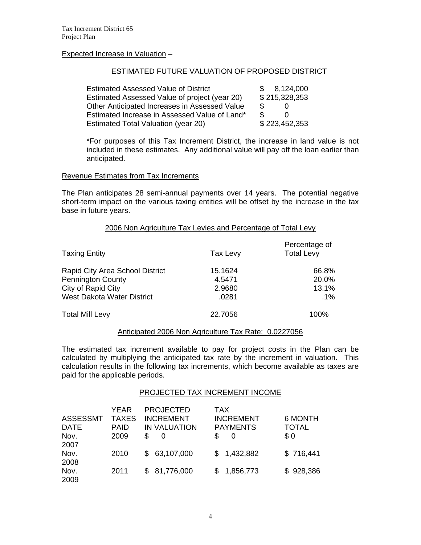#### Expected Increase in Valuation –

#### ESTIMATED FUTURE VALUATION OF PROPOSED DISTRICT

| <b>Estimated Assessed Value of District</b>   | 8,124,000<br>$\mathcal{S}$ |
|-----------------------------------------------|----------------------------|
| Estimated Assessed Value of project (year 20) | \$215,328,353              |
| Other Anticipated Increases in Assessed Value | \$.                        |
| Estimated Increase in Assessed Value of Land* | £.                         |
| Estimated Total Valuation (year 20)           | \$223,452,353              |

\*For purposes of this Tax Increment District, the increase in land value is not included in these estimates. Any additional value will pay off the loan earlier than anticipated.

#### Revenue Estimates from Tax Increments

The Plan anticipates 28 semi-annual payments over 14 years. The potential negative short-term impact on the various taxing entities will be offset by the increase in the tax base in future years.

#### 2006 Non Agriculture Tax Levies and Percentage of Total Levy

| <b>Taxing Entity</b>            | Tax Levy | Percentage of<br><b>Total Levy</b> |
|---------------------------------|----------|------------------------------------|
| Rapid City Area School District | 15.1624  | 66.8%                              |
| <b>Pennington County</b>        | 4.5471   | 20.0%                              |
| City of Rapid City              | 2.9680   | 13.1%                              |
| West Dakota Water District      | .0281    | .1%                                |
| <b>Total Mill Levy</b>          | 22.7056  | 100%                               |

#### Anticipated 2006 Non Agriculture Tax Rate: 0.0227056

The estimated tax increment available to pay for project costs in the Plan can be calculated by multiplying the anticipated tax rate by the increment in valuation. This calculation results in the following tax increments, which become available as taxes are paid for the applicable periods.

#### PROJECTED TAX INCREMENT INCOME

| <b>ASSESSMT</b><br><u>DATE</u><br>Nov. | YEAR<br><b>TAXES</b><br><b>PAID</b><br>2009 | <b>PROJECTED</b><br><b>INCREMENT</b><br><b>IN VALUATION</b><br>S<br>0 | <b>TAX</b><br><b>INCREMENT</b><br><b>PAYMENTS</b><br>S<br>O | 6 MONTH<br>TOTAL<br>\$0 |
|----------------------------------------|---------------------------------------------|-----------------------------------------------------------------------|-------------------------------------------------------------|-------------------------|
| 2007<br>Nov.<br>2008                   | 2010                                        | 63,107,000<br>\$.                                                     | \$1,432,882                                                 | \$716,441               |
| Nov.<br>2009                           | 2011                                        | 81,776,000<br>\$.                                                     | 1,856,773                                                   | \$928,386               |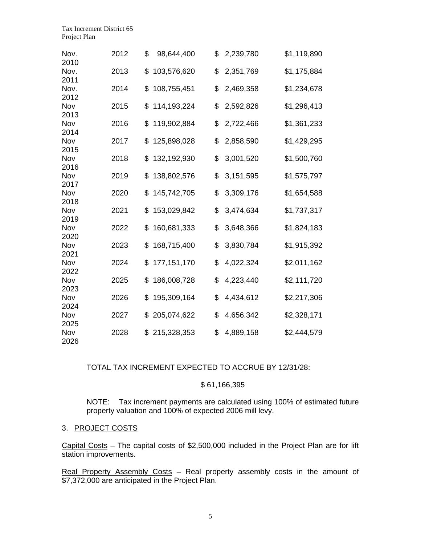| Nov.<br>2010 | 2012 | \$<br>98,644,400    | \$<br>2,239,780 | \$1,119,890 |
|--------------|------|---------------------|-----------------|-------------|
| Nov.<br>2011 | 2013 | \$<br>103,576,620   | \$<br>2,351,769 | \$1,175,884 |
| Nov.<br>2012 | 2014 | \$<br>108,755,451   | \$<br>2,469,358 | \$1,234,678 |
| Nov<br>2013  | 2015 | 114,193,224<br>\$   | \$<br>2,592,826 | \$1,296,413 |
| Nov<br>2014  | 2016 | \$<br>119,902,884   | \$<br>2,722,466 | \$1,361,233 |
| Nov<br>2015  | 2017 | \$<br>125,898,028   | \$<br>2,858,590 | \$1,429,295 |
| Nov<br>2016  | 2018 | \$<br>132,192,930   | \$<br>3,001,520 | \$1,500,760 |
| Nov<br>2017  | 2019 | \$<br>138,802,576   | \$<br>3,151,595 | \$1,575,797 |
| Nov<br>2018  | 2020 | \$<br>145,742,705   | \$<br>3,309,176 | \$1,654,588 |
| Nov<br>2019  | 2021 | \$<br>153,029,842   | \$<br>3,474,634 | \$1,737,317 |
| Nov<br>2020  | 2022 | 160,681,333<br>\$   | \$<br>3,648,366 | \$1,824,183 |
| Nov<br>2021  | 2023 | \$<br>168,715,400   | \$<br>3,830,784 | \$1,915,392 |
| Nov<br>2022  | 2024 | \$<br>177, 151, 170 | \$<br>4,022,324 | \$2,011,162 |
| Nov<br>2023  | 2025 | \$<br>186,008,728   | \$<br>4,223,440 | \$2,111,720 |
| Nov<br>2024  | 2026 | 195,309,164<br>\$   | \$<br>4,434,612 | \$2,217,306 |
| Nov<br>2025  | 2027 | \$<br>205,074,622   | \$<br>4.656.342 | \$2,328,171 |
| Nov<br>2026  | 2028 | \$<br>215,328,353   | \$<br>4,889,158 | \$2,444,579 |

TOTAL TAX INCREMENT EXPECTED TO ACCRUE BY 12/31/28:

#### \$ 61,166,395

NOTE: Tax increment payments are calculated using 100% of estimated future property valuation and 100% of expected 2006 mill levy.

#### 3. PROJECT COSTS

Capital Costs – The capital costs of \$2,500,000 included in the Project Plan are for lift station improvements.

Real Property Assembly Costs - Real property assembly costs in the amount of \$7,372,000 are anticipated in the Project Plan.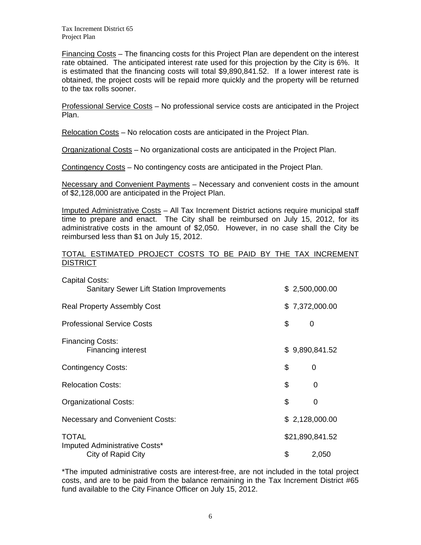Tax Increment District 65 Project Plan

Financing Costs – The financing costs for this Project Plan are dependent on the interest rate obtained. The anticipated interest rate used for this projection by the City is 6%. It is estimated that the financing costs will total \$9,890,841.52. If a lower interest rate is obtained, the project costs will be repaid more quickly and the property will be returned to the tax rolls sooner.

Professional Service Costs – No professional service costs are anticipated in the Project Plan.

Relocation Costs – No relocation costs are anticipated in the Project Plan.

Organizational Costs – No organizational costs are anticipated in the Project Plan.

Contingency Costs – No contingency costs are anticipated in the Project Plan.

Necessary and Convenient Payments – Necessary and convenient costs in the amount of \$2,128,000 are anticipated in the Project Plan.

Imputed Administrative Costs – All Tax Increment District actions require municipal staff time to prepare and enact. The City shall be reimbursed on July 15, 2012, for its administrative costs in the amount of \$2,050. However, in no case shall the City be reimbursed less than \$1 on July 15, 2012.

#### TOTAL ESTIMATED PROJECT COSTS TO BE PAID BY THE TAX INCREMENT **DISTRICT**

| <b>Capital Costs:</b>                               |    |                 |
|-----------------------------------------------------|----|-----------------|
| <b>Sanitary Sewer Lift Station Improvements</b>     |    | \$2,500,000.00  |
| <b>Real Property Assembly Cost</b>                  |    | \$7,372,000.00  |
| <b>Professional Service Costs</b>                   | \$ | 0               |
| <b>Financing Costs:</b>                             |    |                 |
| <b>Financing interest</b>                           |    | \$9,890,841.52  |
| <b>Contingency Costs:</b>                           | \$ | 0               |
| <b>Relocation Costs:</b>                            | \$ | 0               |
| Organizational Costs:                               | \$ | 0               |
| <b>Necessary and Convenient Costs:</b>              |    | \$2,128,000.00  |
| TOTAL                                               |    | \$21,890,841.52 |
| Imputed Administrative Costs*<br>City of Rapid City | \$ | 2,050           |

\*The imputed administrative costs are interest-free, are not included in the total project costs, and are to be paid from the balance remaining in the Tax Increment District #65 fund available to the City Finance Officer on July 15, 2012.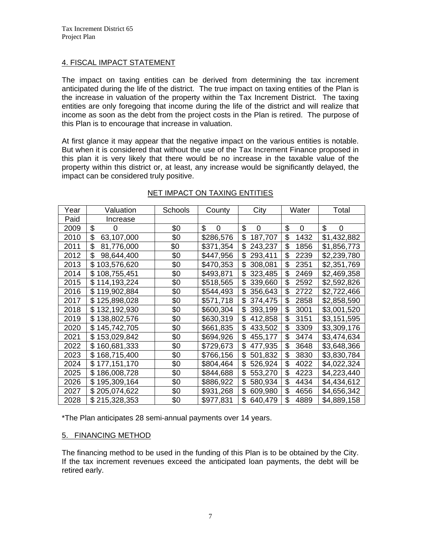# 4. FISCAL IMPACT STATEMENT

The impact on taxing entities can be derived from determining the tax increment anticipated during the life of the district. The true impact on taxing entities of the Plan is the increase in valuation of the property within the Tax Increment District. The taxing entities are only foregoing that income during the life of the district and will realize that income as soon as the debt from the project costs in the Plan is retired. The purpose of this Plan is to encourage that increase in valuation.

At first glance it may appear that the negative impact on the various entities is notable. But when it is considered that without the use of the Tax Increment Finance proposed in this plan it is very likely that there would be no increase in the taxable value of the property within this district or, at least, any increase would be significantly delayed, the impact can be considered truly positive.

| Year | Valuation         | Schools | County    | City          | Water      | Total       |
|------|-------------------|---------|-----------|---------------|------------|-------------|
| Paid | Increase          |         |           |               |            |             |
| 2009 | \$<br>0           | \$0     | \$<br>0   | \$<br>0       | \$<br>0    | \$<br>0     |
| 2010 | \$<br>63,107,000  | \$0     | \$286,576 | \$<br>187,707 | \$<br>1432 | \$1,432,882 |
| 2011 | \$<br>81,776,000  | \$0     | \$371,354 | \$<br>243,237 | \$<br>1856 | \$1,856,773 |
| 2012 | \$<br>98,644,400  | \$0     | \$447,956 | \$<br>293,411 | \$<br>2239 | \$2,239,780 |
| 2013 | 103,576,620<br>\$ | \$0     | \$470,353 | \$<br>308,081 | \$<br>2351 | \$2,351,769 |
| 2014 | 108,755,451<br>\$ | \$0     | \$493,871 | \$<br>323,485 | \$<br>2469 | \$2,469,358 |
| 2015 | \$114,193,224     | \$0     | \$518,565 | \$<br>339,660 | \$<br>2592 | \$2,592,826 |
| 2016 | \$119,902,884     | \$0     | \$544,493 | \$<br>356,643 | \$<br>2722 | \$2,722,466 |
| 2017 | \$125,898,028     | \$0     | \$571,718 | 374,475<br>\$ | \$<br>2858 | \$2,858,590 |
| 2018 | 132,192,930<br>\$ | \$0     | \$600,304 | \$<br>393,199 | \$<br>3001 | \$3,001,520 |
| 2019 | 138,802,576<br>\$ | \$0     | \$630,319 | \$<br>412,858 | \$<br>3151 | \$3,151,595 |
| 2020 | \$145,742,705     | \$0     | \$661,835 | \$<br>433,502 | \$<br>3309 | \$3,309,176 |
| 2021 | 153,029,842<br>\$ | \$0     | \$694,926 | \$<br>455,177 | \$<br>3474 | \$3,474,634 |
| 2022 | 160,681,333<br>\$ | \$0     | \$729,673 | 477,935<br>\$ | \$<br>3648 | \$3,648,366 |
| 2023 | 168,715,400<br>\$ | \$0     | \$766,156 | \$<br>501,832 | \$<br>3830 | \$3,830,784 |
| 2024 | \$177,151,170     | \$0     | \$804,464 | \$<br>526,924 | \$<br>4022 | \$4,022,324 |
| 2025 | 186,008,728<br>\$ | \$0     | \$844,688 | \$<br>553,270 | \$<br>4223 | \$4,223,440 |
| 2026 | 195,309,164<br>\$ | \$0     | \$886,922 | \$<br>580,934 | \$<br>4434 | \$4,434,612 |
| 2027 | \$205,074,622     | \$0     | \$931,268 | 609,980<br>\$ | \$<br>4656 | \$4,656,342 |
| 2028 | \$215,328,353     | \$0     | \$977,831 | \$<br>640,479 | \$<br>4889 | \$4,889,158 |

# NET IMPACT ON TAXING ENTITIES

\*The Plan anticipates 28 semi-annual payments over 14 years.

#### 5. FINANCING METHOD

The financing method to be used in the funding of this Plan is to be obtained by the City. If the tax increment revenues exceed the anticipated loan payments, the debt will be retired early.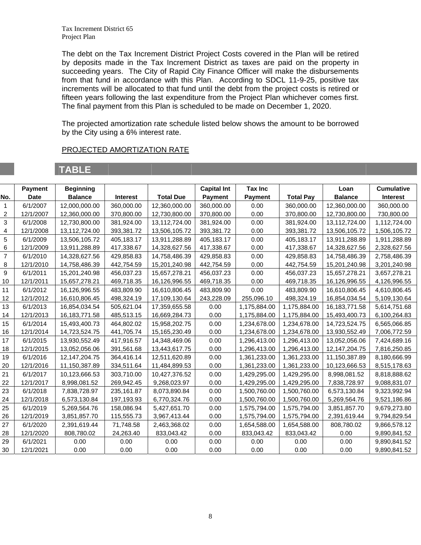Tax Increment District 65 Project Plan

The debt on the Tax Increment District Project Costs covered in the Plan will be retired by deposits made in the Tax Increment District as taxes are paid on the property in succeeding years. The City of Rapid City Finance Officer will make the disbursements from that fund in accordance with this Plan. According to SDCL 11-9-25, positive tax increments will be allocated to that fund until the debt from the project costs is retired or fifteen years following the last expenditure from the Project Plan whichever comes first. The final payment from this Plan is scheduled to be made on December 1, 2020.

The projected amortization rate schedule listed below shows the amount to be borrowed by the City using a 6% interest rate.

#### PROJECTED AMORTIZATION RATE

# **TABLE**

|                | Payment     | <b>Beginning</b> |                 |                  | <b>Capital Int</b> | <b>Tax Inc</b> |                  | Loan             | <b>Cumulative</b> |
|----------------|-------------|------------------|-----------------|------------------|--------------------|----------------|------------------|------------------|-------------------|
| No.            | <b>Date</b> | <b>Balance</b>   | <b>Interest</b> | <b>Total Due</b> | Payment            | <b>Payment</b> | <b>Total Pay</b> | <b>Balance</b>   | <b>Interest</b>   |
| 1              | 6/1/2007    | 12,000,000.00    | 360,000.00      | 12,360,000.00    | 360,000.00         | 0.00           | 360,000.00       | 12,360,000.00    | 360,000.00        |
| 2              | 12/1/2007   | 12,360,000.00    | 370,800.00      | 12,730,800.00    | 370,800.00         | 0.00           | 370,800.00       | 12,730,800.00    | 730,800.00        |
| 3              | 6/1/2008    | 12,730,800.00    | 381,924.00      | 13,112,724.00    | 381,924.00         | 0.00           | 381,924.00       | 13,112,724.00    | 1,112,724.00      |
| 4              | 12/1/2008   | 13,112,724.00    | 393,381.72      | 13,506,105.72    | 393,381.72         | 0.00           | 393,381.72       | 13,506,105.72    | 1,506,105.72      |
| 5              | 6/1/2009    | 13,506,105.72    | 405,183.17      | 13,911,288.89    | 405,183.17         | 0.00           | 405,183.17       | 13,911,288.89    | 1,911,288.89      |
| 6              | 12/1/2009   | 13,911,288.89    | 417,338.67      | 14,328,627.56    | 417,338.67         | 0.00           | 417,338.67       | 14,328,627.56    | 2,328,627.56      |
| $\overline{7}$ | 6/1/2010    | 14,328,627.56    | 429,858.83      | 14,758,486.39    | 429,858.83         | 0.00           | 429,858.83       | 14,758,486.39    | 2,758,486.39      |
| 8              | 12/1/2010   | 14,758,486.39    | 442,754.59      | 15,201,240.98    | 442,754.59         | 0.00           | 442,754.59       | 15,201,240.98    | 3,201,240.98      |
| 9              | 6/1/2011    | 15,201,240.98    | 456,037.23      | 15,657,278.21    | 456,037.23         | 0.00           | 456,037.23       | 15,657,278.21    | 3,657,278.21      |
| 10             | 12/1/2011   | 15,657,278.21    | 469,718.35      | 16,126,996.55    | 469,718.35         | 0.00           | 469,718.35       | 16,126,996.55    | 4,126,996.55      |
| 11             | 6/1/2012    | 16,126,996.55    | 483,809.90      | 16,610,806.45    | 483,809.90         | 0.00           | 483,809.90       | 16,610,806.45    | 4,610,806.45      |
| 12             | 12/1/2012   | 16,610,806.45    | 498,324.19      | 17,109,130.64    | 243,228.09         | 255,096.10     | 498,324.19       | 16,854,034.54    | 5,109,130.64      |
| 13             | 6/1/2013    | 16,854,034.54    | 505,621.04      | 17,359,655.58    | 0.00               | 1,175,884.00   | 1,175,884.00     | 16, 183, 771.58  | 5,614,751.68      |
| 14             | 12/1/2013   | 16, 183, 771.58  | 485,513.15      | 16,669,284.73    | 0.00               | 1,175,884.00   | 1,175,884.00     | 15,493,400.73    | 6,100,264.83      |
| 15             | 6/1/2014    | 15,493,400.73    | 464,802.02      | 15,958,202.75    | 0.00               | 1,234,678.00   | 1,234,678.00     | 14,723,524.75    | 6,565,066.85      |
| 16             | 12/1/2014   | 14,723,524.75    | 441,705.74      | 15,165,230.49    | 0.00               | 1,234,678.00   | 1,234,678.00     | 13,930,552.49    | 7,006,772.59      |
| 17             | 6/1/2015    | 13,930,552.49    | 417,916.57      | 14,348,469.06    | 0.00               | 1,296,413.00   | 1,296,413.00     | 13,052,056.06    | 7,424,689.16      |
| 18             | 12/1/2015   | 13,052,056.06    | 391,561.68      | 13,443,617.75    | 0.00               | 1,296,413.00   | 1,296,413.00     | 12, 147, 204. 75 | 7,816,250.85      |
| 19             | 6/1/2016    | 12,147,204.75    | 364.416.14      | 12,511,620.89    | 0.00               | 1,361,233.00   | 1,361,233.00     | 11,150,387.89    | 8,180,666.99      |
| 20             | 12/1/2016   | 11,150,387.89    | 334,511.64      | 11,484,899.53    | 0.00               | 1,361,233.00   | 1,361,233.00     | 10,123,666.53    | 8,515,178.63      |
| 21             | 6/1/2017    | 10,123,666.53    | 303,710.00      | 10,427,376.52    | 0.00               | 1,429,295.00   | 1,429,295.00     | 8,998,081.52     | 8,818,888.62      |
| 22             | 12/1/2017   | 8,998,081.52     | 269,942.45      | 9,268,023.97     | 0.00               | 1,429,295.00   | 1,429,295.00     | 7,838,728.97     | 9,088,831.07      |
| 23             | 6/1/2018    | 7,838,728.97     | 235,161.87      | 8,073,890.84     | 0.00               | 1,500,760.00   | 1,500,760.00     | 6,573,130.84     | 9,323,992.94      |
| 24             | 12/1/2018   | 6,573,130.84     | 197,193.93      | 6,770,324.76     | 0.00               | 1,500,760.00   | 1,500,760.00     | 5,269,564.76     | 9,521,186.86      |
| 25             | 6/1/2019    | 5,269,564.76     | 158,086.94      | 5,427,651.70     | 0.00               | 1,575,794.00   | 1,575,794.00     | 3,851,857.70     | 9,679,273.80      |
| 26             | 12/1/2019   | 3,851,857.70     | 115,555.73      | 3,967,413.44     | 0.00               | 1,575,794.00   | 1,575,794.00     | 2,391,619.44     | 9,794,829.54      |
| 27             | 6/1/2020    | 2,391,619.44     | 71,748.58       | 2,463,368.02     | 0.00               | 1,654,588.00   | 1,654,588.00     | 808,780.02       | 9,866,578.12      |
| 28             | 12/1/2020   | 808,780.02       | 24,263.40       | 833,043.42       | 0.00               | 833,043.42     | 833,043.42       | 0.00             | 9,890,841.52      |
| 29             | 6/1/2021    | 0.00             | 0.00            | 0.00             | 0.00               | 0.00           | 0.00             | 0.00             | 9,890,841.52      |
| 30             | 12/1/2021   | 0.00             | 0.00            | 0.00             | 0.00               | 0.00           | 0.00             | 0.00             | 9,890,841.52      |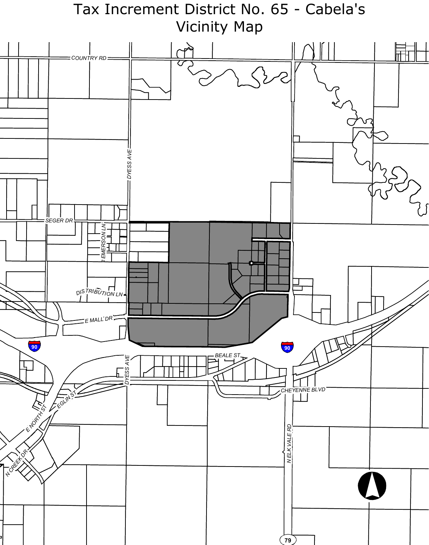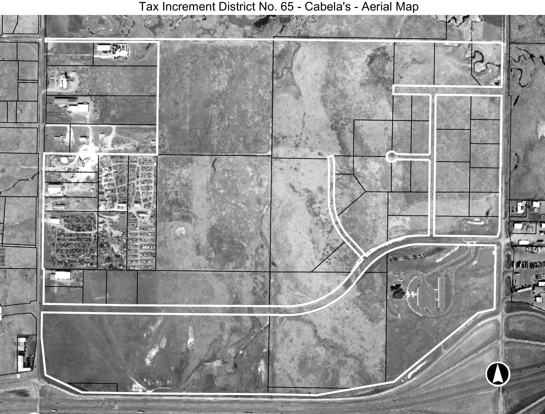Tax Increment District No. 65 - Cabela's - Aerial Map

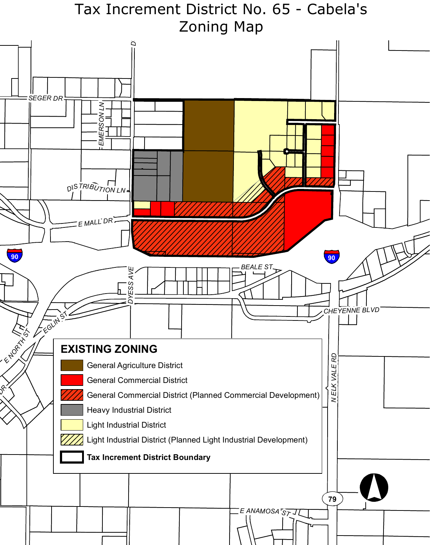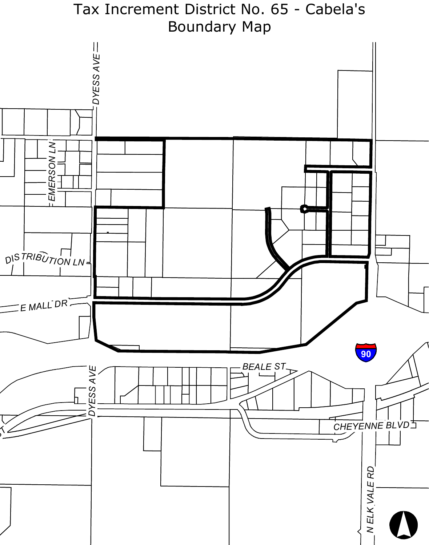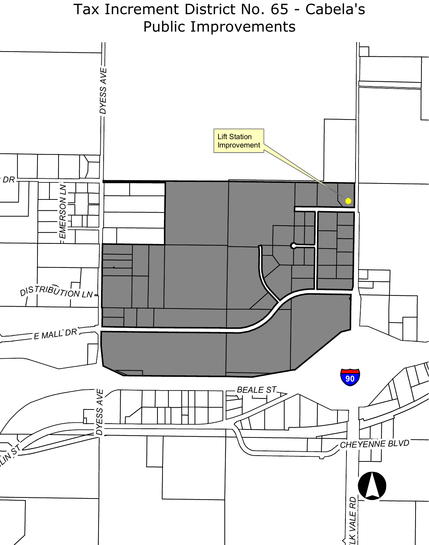